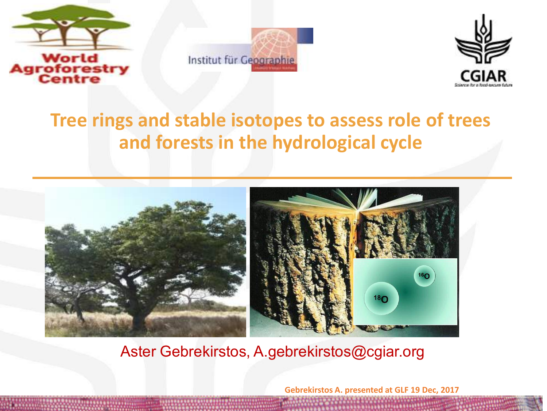





## **Tree rings and stable isotopes to assess role of trees and forests in the hydrological cycle**



Aster Gebrekirstos, A.gebrekirstos@cgiar.org

**Gebrekirstos A. presented at GLF 19 Dec, 2017**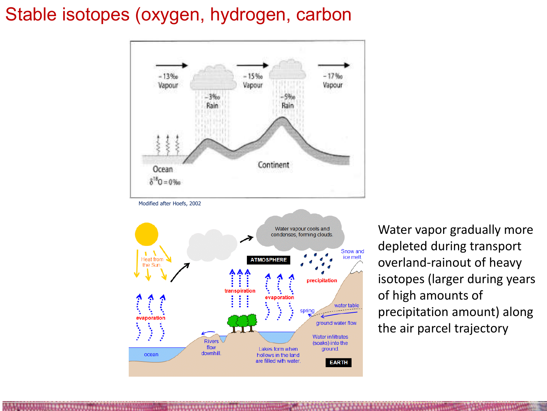### Stable isotopes (oxygen, hydrogen, carbon





Water vapor gradually more depleted during transport overland-rainout of heavy isotopes (larger during years of high amounts of precipitation amount) along the air parcel trajectory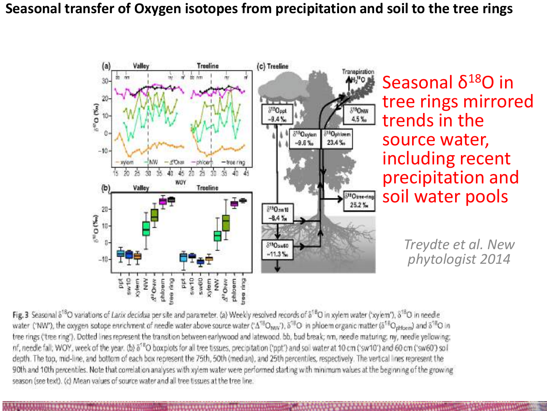#### **Seasonal transfer of Oxygen isotopes from precipitation and soil to the tree rings**



Seasonal δ<sup>18</sup>O in tree rings mirrored trends in the source water, including recent precipitation and soil water pools

> *Treydte et al. New phytologist 2014*

Fig. 3 Seasonal  $\delta^{18}O$  variations of Larix decidua per site and parameter. (a) Weekly resolved records of  $\delta^{18}O$  in xylem water ('xylem'),  $\delta^{18}O$  in needle water ('NW'), the oxygen sotope enrichment of needle water above source water (' $\Delta^{18}O_{\text{MW}}$ '),  $\delta^{18}O$  in phicem organic matter ( $\delta^{18}O_{\text{ortho}}$ ) and  $\delta^{18}O$  in tree rings ('tree ring'). Dotted lines represent the transition between earlywood and latewood. bb, bud break; nm, needle maturing; ny, needle yellowing; nf, needle fall; WOY, week of the year. (b)  $\delta^{18}O$  boxplots for all tree tissues, precipitation ('ppt') and soil water at 10 cm ('sw10') and 60 cm ('sw60') soil depth. The top, mid-line, and bottom of each box represent the 75th, 50th (median), and 25th percentiles, respectively. The vertical lines represent the 90th and 10th percentiles. Note that correlation analyses with xylem water were performed starting with minimum values at the beginning of the growing season (see text). (c) Mean values of source water and all tree tissues at the tree line.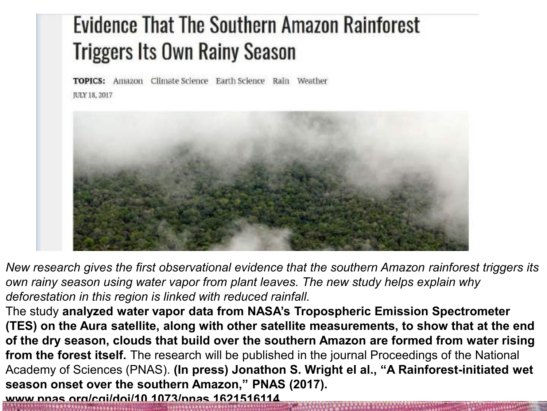# **Evidence That The Southern Amazon Rainforest Triggers Its Own Rainy Season**

Amazon Climate Science Earth Science Rain Weather **TOPICS:** JULY 18, 2017



*New research gives the first observational evidence that the southern Amazon rainforest triggers its own rainy season using water vapor from plant leaves. The new study helps explain why deforestation in this region is linked with reduced rainfall.*

The study **analyzed water vapor data from NASA's Tropospheric Emission Spectrometer (TES) on the Aura satellite, along with other satellite measurements, to show that at the end of the dry season, clouds that build over the southern Amazon are formed from water rising from the forest itself.** The research will be published in the journal Proceedings of the National Academy of Sciences (PNAS). **(In press) Jonathon S. Wright el al., "A Rainforest-initiated wet season onset over the southern Amazon," PNAS (2017). www.pnas.org/cgi/doi/10.1073/pnas.1621516114**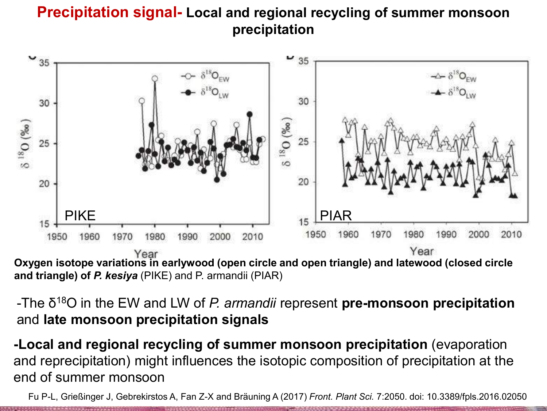#### **Precipitation signal- Local and regional recycling of summer monsoon precipitation**



**and triangle) of** *P. kesiya* (PIKE) and P. armandii (PIAR)

-The δ <sup>18</sup>O in the EW and LW of *P. armandii* represent **pre-monsoon precipitation**  and **late monsoon precipitation signals** 

**-Local and regional recycling of summer monsoon precipitation** (evaporation and reprecipitation) might influences the isotopic composition of precipitation at the end of summer monsoon

Fu P-L, Grießinger J, Gebrekirstos A, Fan Z-X and Bräuning A (2017) *Front. Plant Sci.* 7:2050. doi: 10.3389/fpls.2016.02050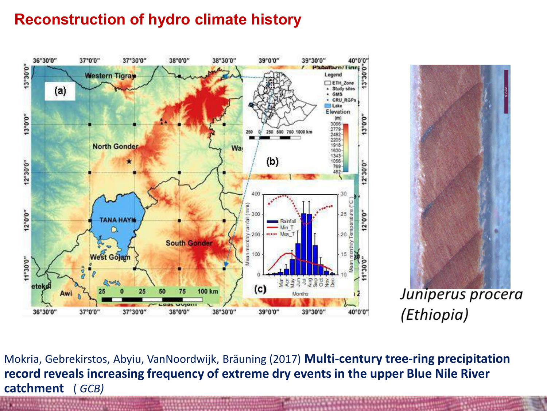#### **Reconstruction of hydro climate history**





Juniperus procera (Ethiopia)

Mokria, Gebrekirstos, Abyiu, VanNoordwijk, Bräuning (2017) **Multi-century tree-ring precipitation record reveals increasing frequency of extreme dry events in the upper Blue Nile River catchment** ( *GCB)*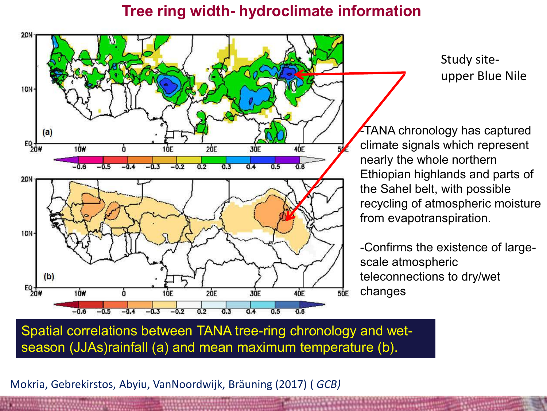#### **Tree ring width- hydroclimate information**



Study siteupper Blue Nile

-TANA chronology has captured climate signals which represent nearly the whole northern Ethiopian highlands and parts of the Sahel belt, with possible recycling of atmospheric moisture from evapotranspiration.

-Confirms the existence of largescale atmospheric teleconnections to dry/wet changes

Spatial correlations between TANA tree-ring chronology and wetseason (JJAs)rainfall (a) and mean maximum temperature (b).

Mokria, Gebrekirstos, Abyiu, VanNoordwijk, Bräuning (2017) ( *GCB)*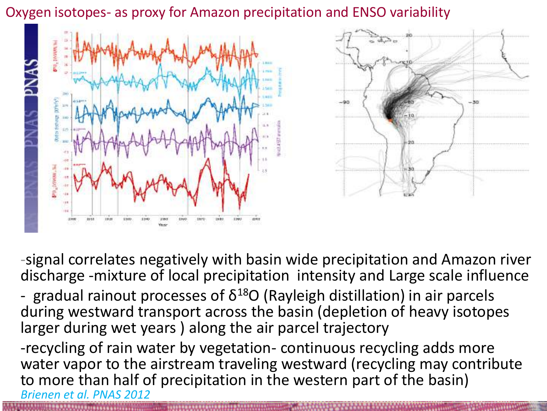Oxygen isotopes- as proxy for Amazon precipitation and ENSO variability



-signal correlates negatively with basin wide precipitation and Amazon river discharge -mixture of local precipitation intensity and Large scale influence - gradual rainout processes of  $\delta^{18}O$  (Rayleigh distillation) in air parcels during westward transport across the basin (depletion of heavy isotopes larger during wet years ) along the air parcel trajectory -recycling of rain water by vegetation- continuous recycling adds more water vapor to the airstream traveling westward (recycling may contribute to more than half of precipitation in the western part of the basin)

*Brienen et al. PNAS 2012*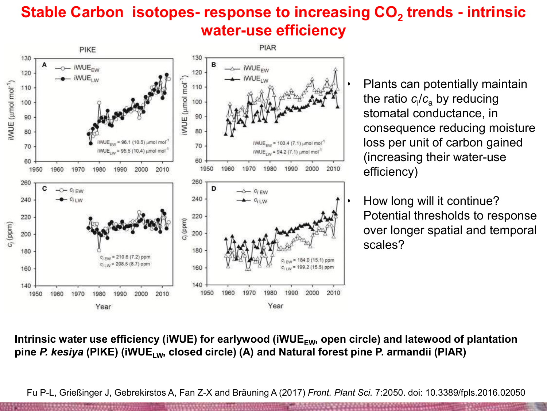#### **Stable Carbon isotopes- response to increasing CO<sup>2</sup> trends - intrinsic water-use efficiency**



• Plants can potentially maintain the ratio *c*<sup>i</sup> /*c*a by reducing stomatal conductance, in consequence reducing moisture loss per unit of carbon gained (increasing their water-use efficiency)

• How long will it continue? Potential thresholds to response over longer spatial and temporal scales?

Intrinsic water use efficiency (iWUE) for earlywood (iWUE<sub>FW</sub>, open circle) and latewood of plantation **pine** *P. kesiya* **(PIKE) (iWUELW, closed circle) (A) and Natural forest pine P. armandii (PIAR)** 

Fu P-L, Grießinger J, Gebrekirstos A, Fan Z-X and Bräuning A (2017) *Front. Plant Sci.* 7:2050. doi: 10.3389/fpls.2016.02050